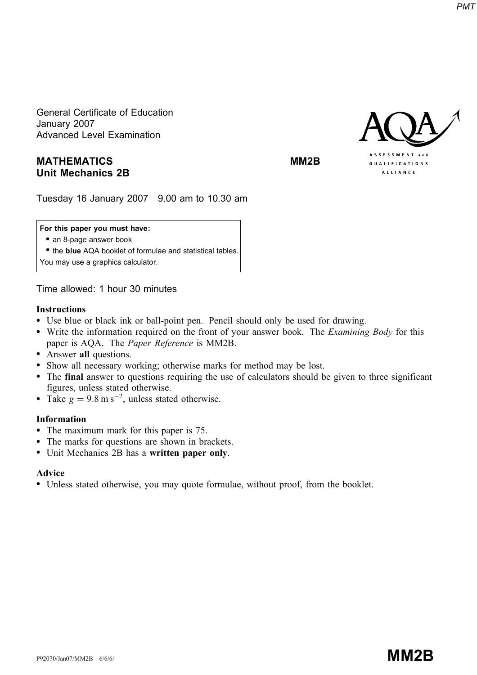General Certificate of Education January 2007 Advanced Level Examination

# MATHEMATICS MATHEMATICS Unit Mechanics 2B



Tuesday 16 January 2007 9.00 am to 10.30 am

#### For this paper you must have:

• an 8-page answer book

• the blue AQA booklet of formulae and statistical tables.

You may use a graphics calculator.

Time allowed: 1 hour 30 minutes

### Instructions

- Use blue or black ink or ball-point pen. Pencil should only be used for drawing.
- Write the information required on the front of your answer book. The *Examining Body* for this paper is AQA. The Paper Reference is MM2B.
- Answer all questions.
- \* Show all necessary working; otherwise marks for method may be lost.
- \* The final answer to questions requiring the use of calculators should be given to three significant figures, unless stated otherwise.
- Take  $g = 9.8 \text{ m s}^{-2}$ , unless stated otherwise.

## Information

- The maximum mark for this paper is 75.
- The marks for questions are shown in brackets.
- Unit Mechanics 2B has a written paper only.

# Advice

\* Unless stated otherwise, you may quote formulae, without proof, from the booklet.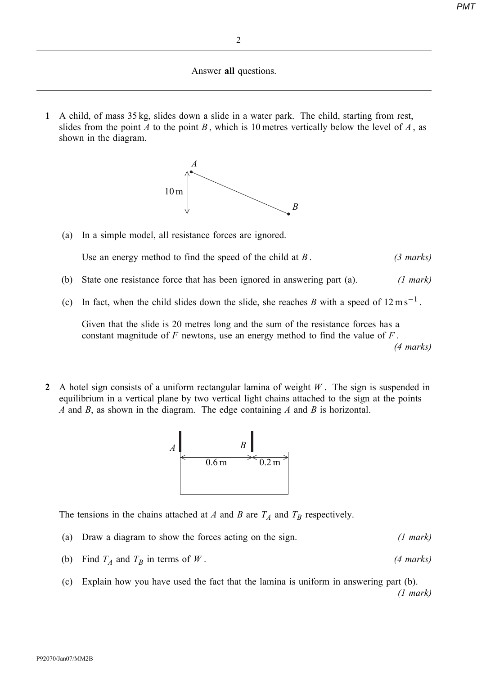Answer all questions.

1 A child, of mass 35 kg, slides down a slide in a water park. The child, starting from rest, slides from the point A to the point B, which is 10 metres vertically below the level of A, as shown in the diagram.



(a) In a simple model, all resistance forces are ignored.

Use an energy method to find the speed of the child at  $B$ . (3 marks)

- (b) State one resistance force that has been ignored in answering part (a). (1 mark)
- (c) In fact, when the child slides down the slide, she reaches B with a speed of  $12 \text{ m s}^{-1}$ .

Given that the slide is 20 metres long and the sum of the resistance forces has a constant magnitude of  $F$  newtons, use an energy method to find the value of  $F$ . (4 marks)

2 A hotel sign consists of a uniform rectangular lamina of weight  $W$ . The sign is suspended in equilibrium in a vertical plane by two vertical light chains attached to the sign at the points A and B, as shown in the diagram. The edge containing A and B is horizontal.



The tensions in the chains attached at A and B are  $T_A$  and  $T_B$  respectively.

- (a) Draw a diagram to show the forces acting on the sign. (1 mark)
- (b) Find  $T_A$  and  $T_B$  in terms of W. (4 marks)
- (c) Explain how you have used the fact that the lamina is uniform in answering part (b). (1 mark)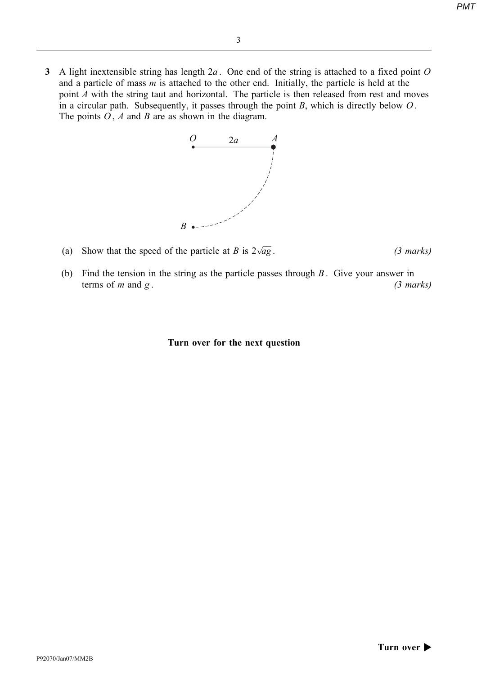3 A light inextensible string has length  $2a$ . One end of the string is attached to a fixed point  $O$ and a particle of mass  $m$  is attached to the other end. Initially, the particle is held at the point  $\vec{A}$  with the string taut and horizontal. The particle is then released from rest and moves in a circular path. Subsequently, it passes through the point  $B$ , which is directly below  $O$ . The points  $O$ , A and B are as shown in the diagram.



- (a) Show that the speed of the particle at B is  $2\sqrt{ag}$ .  $(3 \text{ marks})$
- (b) Find the tension in the string as the particle passes through  $B$ . Give your answer in terms of  $m$  and  $g$ . (3 marks)

Turn over for the next question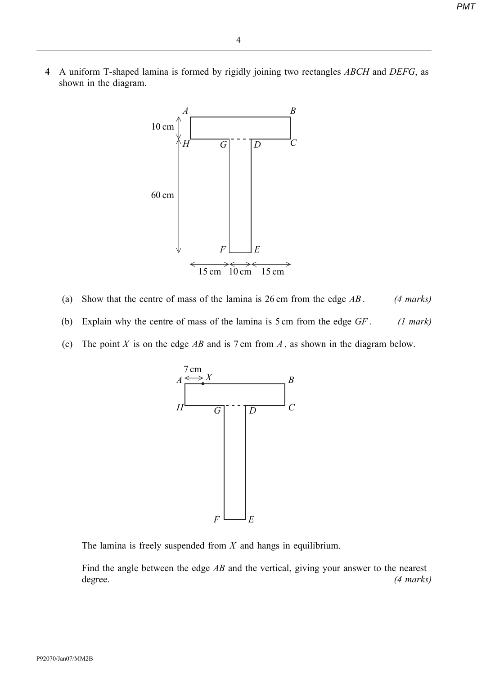4 A uniform T-shaped lamina is formed by rigidly joining two rectangles ABCH and DEFG, as shown in the diagram.



- (a) Show that the centre of mass of the lamina is  $26 \text{ cm}$  from the edge  $AB$ . (4 marks)
- (b) Explain why the centre of mass of the lamina is  $5 \text{ cm}$  from the edge  $GF$ . (1 mark)
- (c) The point X is on the edge AB and is  $7 \text{ cm}$  from A, as shown in the diagram below.



The lamina is freely suspended from  $X$  and hangs in equilibrium.

Find the angle between the edge  $AB$  and the vertical, giving your answer to the nearest degree. (4 marks)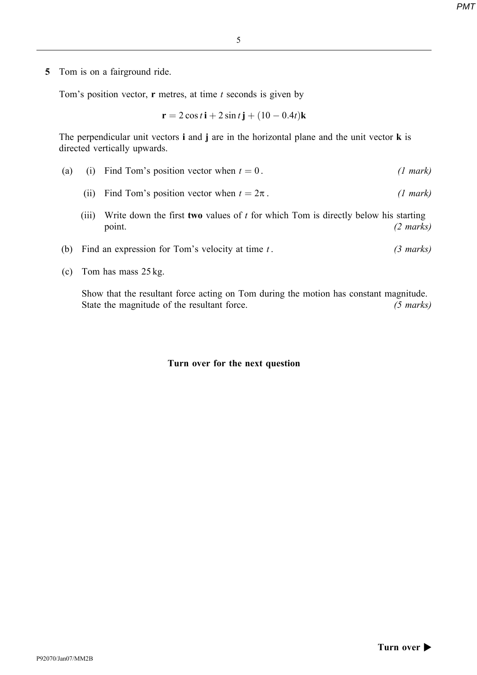5 Tom is on a fairground ride.

Tom's position vector,  $\bf{r}$  metres, at time t seconds is given by

 $r = 2 \cos t \mathbf{i} + 2 \sin t \mathbf{j} + (10 - 0.4t) \mathbf{k}$ 

The perpendicular unit vectors  $\mathbf i$  and  $\mathbf j$  are in the horizontal plane and the unit vector  $\mathbf k$  is directed vertically upwards.

- (a) (i) Find Tom's position vector when  $t = 0$ . (1 mark)
	- (ii) Find Tom's position vector when  $t = 2\pi$ . (1 mark)
	- (iii) Write down the first two values of  $t$  for which Tom is directly below his starting point. (2 marks)
- (b) Find an expression for Tom's velocity at time  $t$ . (3 marks)
- (c) Tom has mass 25 kg.

Show that the resultant force acting on Tom during the motion has constant magnitude. State the magnitude of the resultant force. (5 marks)

### Turn over for the next question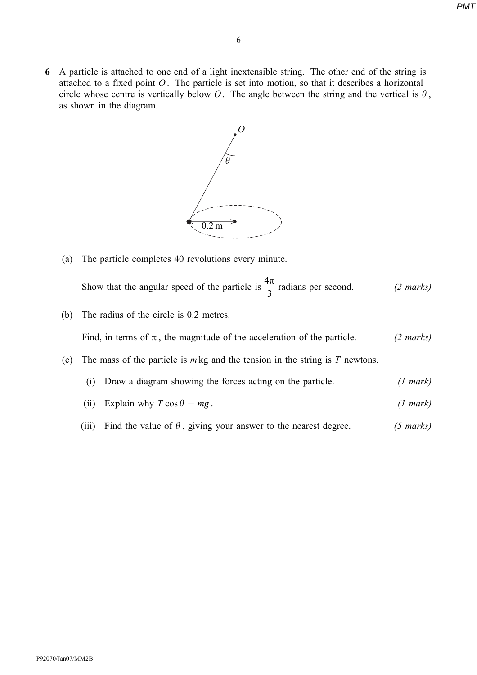6 A particle is attached to one end of a light inextensible string. The other end of the string is attached to a fixed point  $O$ . The particle is set into motion, so that it describes a horizontal circle whose centre is vertically below O. The angle between the string and the vertical is  $\theta$ , as shown in the diagram.



(a) The particle completes 40 revolutions every minute.

Show that the angular speed of the particle is  $\frac{4\pi}{3}$  $\frac{1}{3}$  radians per second. (2 marks)

(b) The radius of the circle is 0.2 metres.

Find, in terms of  $\pi$ , the magnitude of the acceleration of the particle. (2 marks)

- (c) The mass of the particle is  $m \text{ kg}$  and the tension in the string is  $T$  newtons.
	- (i) Draw a diagram showing the forces acting on the particle.  $(1 mark)$
	- (ii) Explain why  $T \cos \theta = mg$ . (1 mark)
	- (iii) Find the value of  $\theta$ , giving your answer to the nearest degree. (5 marks)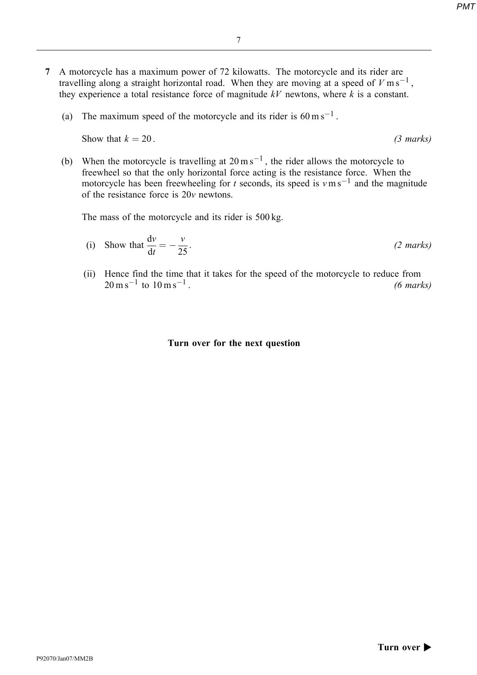- 7 A motorcycle has a maximum power of 72 kilowatts. The motorcycle and its rider are travelling along a straight horizontal road. When they are moving at a speed of  $V \text{ m s}^{-1}$ , they experience a total resistance force of magnitude  $kV$  newtons, where k is a constant.
	- (a) The maximum speed of the motorcycle and its rider is  $60 \text{ m s}^{-1}$ .

Show that  $k = 20$ . (3 marks)

(b) When the motorcycle is travelling at  $20 \text{ m s}^{-1}$ , the rider allows the motorcycle to freewheel so that the only horizontal force acting is the resistance force. When the motorcycle has been freewheeling for t seconds, its speed is  $v \text{ m s}^{-1}$  and the magnitude of the resistance force is 20v newtons.

The mass of the motorcycle and its rider is 500 kg.

(i) Show that 
$$
\frac{dv}{dt} = -\frac{v}{25}
$$
. (2 marks)

(ii) Hence find the time that it takes for the speed of the motorcycle to reduce from  $20 \text{ m s}^{-1}$  to  $10 \text{ m s}^{-1}$ . (6 marks)

#### Turn over for the next question